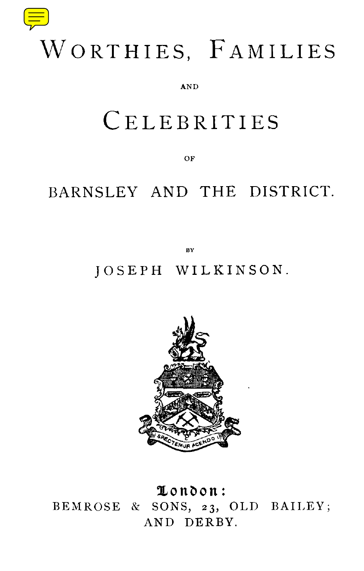

# WORTHIES, FAMILIES

#### AND

# CELEBRITIES

OF

# BARNSLEY AND THE DISTRICT.

BY

## JOSEPH WILKINSON.



**London:** BEMROSE & SONS, 23, OLD BAILEY; AND DERBY.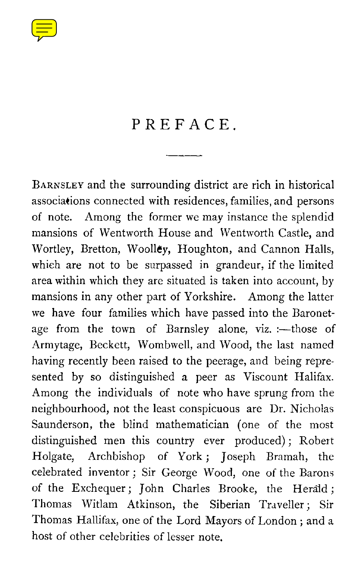

### PREFACE.

BARNSLEY and the surrounding district are rich in historical associations connected with residences, families, and persons of note. Among the former we may instance the splendid mansions of Wentworth House and Wentworth Castle, and Wortley, Bretton, Woolley, Houghton, and Cannon Halls, which are not to be surpassed in grandeur, if the limited area within which they are situated is taken into account, by mansions in any other part of Yorkshire. Among the latter we have four families which have passed into the Baronetage from the town of Barnsley alone, viz. :—those of Armytage, Beckett, Wombwell, and Wood, the last named having recently been raised to the peerage, and being represented by so distinguished a peer as Viscount Halifax. Among the individuals of note who have sprung from the neighbourhood, not the least conspicuous are Dr. Nicholas Saunderson, the blind mathematician (one of the most distinguished men this country ever produced) ; Robert Holgate, Archbishop of York ; Joseph Bramah, the celebrated inventor ; Sir George Wood, one of the Barons of the Exchequer ; John Charles Brooke, the Herald ; Thomas Witlam Atkinson, the Siberian Traveller ; Sir Thomas Hallifax, one of the Lord Mayors of London ; and a host of other celebrities of lesser note.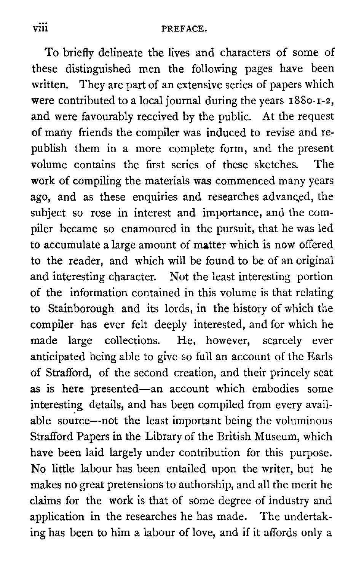To briefly delineate the lives and characters of some of these distinguished men the following pages have been written. They are part of an extensive series of papers which were contributed to a local journal during the years 1880-1-2, and were favourably received by the public. At the request of many friends the compiler was induced to revise and republish them in a more complete form, and the present volume contains the first series of these sketches. The work of compiling the materials was commenced many years ago, and as these enquiries and researches advanced, the subject so rose in interest and importance, and the compiler became so enamoured in the pursuit, that he was led to accumulate a large amount of matter which is now offered to the reader, and which will be found to be of an original and interesting character. Not the least interesting portion of the information contained in this volume is that relating to Stainborough and its lords, in the history of which the compiler has ever felt deeply interested, and for which he made large collections. He, however, scarcely ever anticipated being able to give so full an account of the Earls of Strafford, of the second creation, and their princely seat as is here presented—an account which embodies some interesting, details, and has been compiled from every available source—not the least important being the voluminous Strafford Papers in the Library of the British Museum, which have been laid largely under contribution for this purpose. No little labour has been entailed upon the writer, but he makes no great pretensions to authorship, and all the merit he claims for the work is that of some degree of industry and application in the researches he has made. The undertaking has been to him a labour of love, and if it affords only a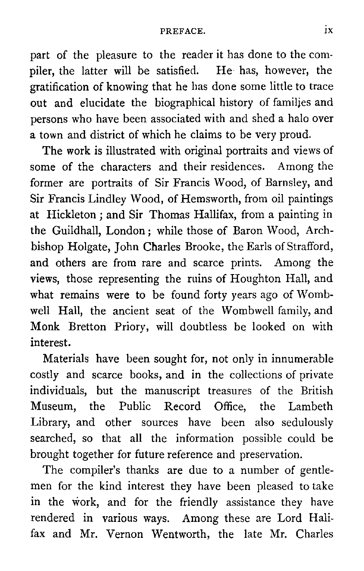PREFACE.<br>the reader it has done to the compart of the pleasure to the reader it has done to the compiler, the latter will be satisfied. He has, however, the gratification of knowing that he has done some little to trace out and elucidate the biographical history of families and persons who have been associated with and shed a halo over a town and district of which he claims to be very proud.

The work is illustrated with original portraits and views of some of the characters and their residences. Among the former are portraits of Sir Francis Wood, of Barnsley, and Sir Francis Lindley Wood, of Hemsworth, from oil paintings at Hickleton ; and Sir Thomas Hallifax, from a painting in the Guildhall, London ; while those of Baron Wood, Archbishop Holgate, John Charles Brooke, the Earls of Strafford, and others are from rare and scarce prints. Among the views, those representing the ruins of Houghton Hall, and what remains were to be found forty years ago of Wombwell Hall, the ancient seat of the Wombwell family, and Monk Bretton Priory, will doubtless be looked on with interest.

Materials have been sought for, not only in innumerable costly and scarce books, and in the collections of private individuals, but the manuscript treasures of the British Museum, the Public Record Office, the Lambeth Library, and other sources have been also sedulously searched, so that all the information possible could be brought together for future reference and preservation.

The compiler's thanks are due to a number of gentlemen for the kind interest they have been pleased to take in the work, and for the friendly assistance they have rendered in various ways. Among these are Lord Halifax and Mr. Vernon Wentworth, the late Mr. Charles